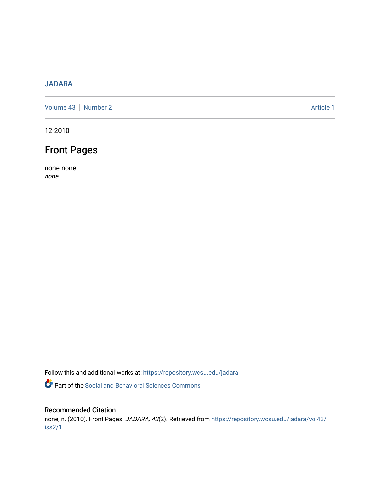# [JADARA](https://repository.wcsu.edu/jadara)

[Volume 43](https://repository.wcsu.edu/jadara/vol43) | [Number 2](https://repository.wcsu.edu/jadara/vol43/iss2) Article 1

12-2010

# Front Pages

none none none

Follow this and additional works at: [https://repository.wcsu.edu/jadara](https://repository.wcsu.edu/jadara?utm_source=repository.wcsu.edu%2Fjadara%2Fvol43%2Fiss2%2F1&utm_medium=PDF&utm_campaign=PDFCoverPages)

Part of the [Social and Behavioral Sciences Commons](http://network.bepress.com/hgg/discipline/316?utm_source=repository.wcsu.edu%2Fjadara%2Fvol43%2Fiss2%2F1&utm_medium=PDF&utm_campaign=PDFCoverPages) 

#### Recommended Citation

none, n. (2010). Front Pages. JADARA, 43(2). Retrieved from [https://repository.wcsu.edu/jadara/vol43/](https://repository.wcsu.edu/jadara/vol43/iss2/1?utm_source=repository.wcsu.edu%2Fjadara%2Fvol43%2Fiss2%2F1&utm_medium=PDF&utm_campaign=PDFCoverPages) [iss2/1](https://repository.wcsu.edu/jadara/vol43/iss2/1?utm_source=repository.wcsu.edu%2Fjadara%2Fvol43%2Fiss2%2F1&utm_medium=PDF&utm_campaign=PDFCoverPages)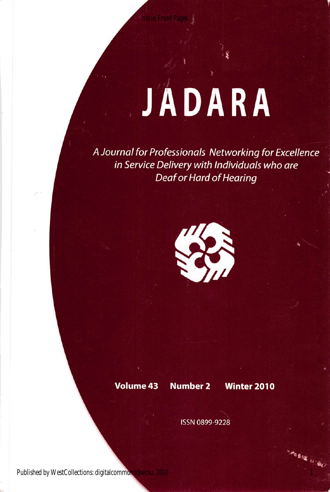# JADARA

A Journal for Professionals Networking for Excellence in Service Delivery with Individuals who are Deaf or Hard of Hearing



Volume 43 Number 2 Winter 2010

-----

ISSN 0899-9228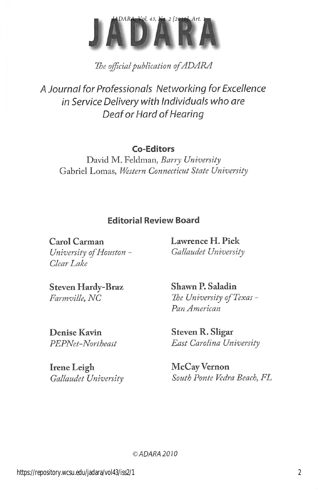

The official publication of ADARA

A Journal for Professionals Networking for Excellence in Service Delivery with individuals who are Deaf or Hard of Hearing

## Co-Editors

David M. Feldman, Barry University Gabriel Lomas, Western Connecticut State University

## Editorial Review Board

Carol Carman University of Houston - Clear Lake

Lawrence H. Pick Gallaudet University

Steven Hardy-Braz Farmville, NC

Denise Kavin PEPNet-Northeast

Irene Leigh Gallaudet University Shawn P. Saladin The University of Texas -Pan American

Steven R. Sligar East Carolina University

McCay Vernon South Ponte Vedra Beach, FL

©ADARA2010